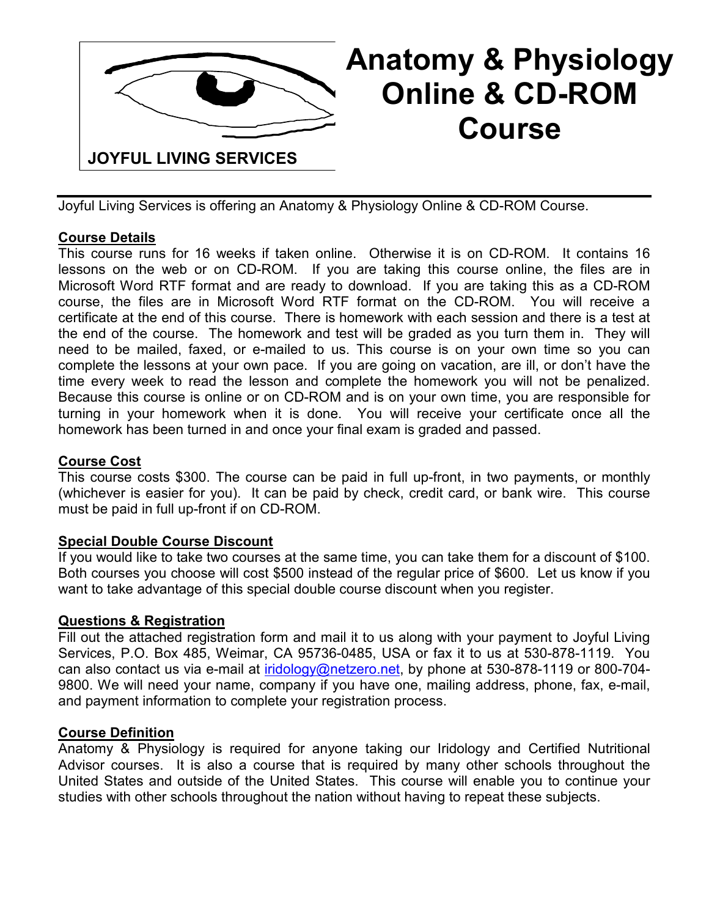

# **Anatomy & Physiology Online & CD-ROM Course**

Joyful Living Services is offering an Anatomy & Physiology Online & CD-ROM Course.

### **Course Details**

This course runs for 16 weeks if taken online. Otherwise it is on CD-ROM. It contains 16 lessons on the web or on CD-ROM. If you are taking this course online, the files are in Microsoft Word RTF format and are ready to download. If you are taking this as a CD-ROM course, the files are in Microsoft Word RTF format on the CD-ROM. You will receive a certificate at the end of this course. There is homework with each session and there is a test at the end of the course. The homework and test will be graded as you turn them in. They will need to be mailed, faxed, or e-mailed to us. This course is on your own time so you can complete the lessons at your own pace. If you are going on vacation, are ill, or don't have the time every week to read the lesson and complete the homework you will not be penalized. Because this course is online or on CD-ROM and is on your own time, you are responsible for turning in your homework when it is done. You will receive your certificate once all the homework has been turned in and once your final exam is graded and passed.

#### **Course Cost**

This course costs \$300. The course can be paid in full up-front, in two payments, or monthly (whichever is easier for you). It can be paid by check, credit card, or bank wire. This course must be paid in full up-front if on CD-ROM.

#### **Special Double Course Discount**

If you would like to take two courses at the same time, you can take them for a discount of \$100. Both courses you choose will cost \$500 instead of the regular price of \$600. Let us know if you want to take advantage of this special double course discount when you register.

#### **Questions & Registration**

Fill out the attached registration form and mail it to us along with your payment to Joyful Living Services, P.O. Box 485, Weimar, CA 95736-0485, USA or fax it to us at 530-878-1119. You can also contact us via e-mail at iridology@netzero.net, by phone at 530-878-1119 or 800-704-9800. We will need your name, company if you have one, mailing address, phone, fax, e-mail, and payment information to complete your registration process.

#### **Course Definition**

Anatomy & Physiology is required for anyone taking our Iridology and Certified Nutritional Advisor courses. It is also a course that is required by many other schools throughout the United States and outside of the United States. This course will enable you to continue your studies with other schools throughout the nation without having to repeat these subjects.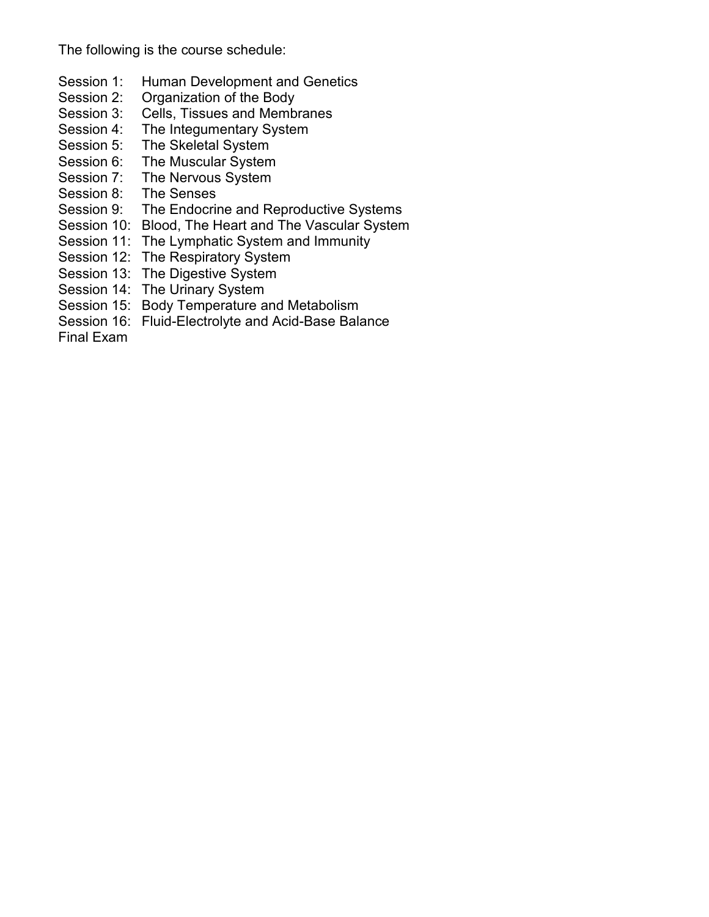The following is the course schedule:

- Session 1: Human Development and Genetics
- Session 2: Organization of the Body
- Session 3: Cells, Tissues and Membranes
- Session 4: The Integumentary System
- Session 5: The Skeletal System
- Session 6: The Muscular System
- Session 7: The Nervous System
- Session 8: The Senses
- Session 9: The Endocrine and Reproductive Systems
- Session 10: Blood, The Heart and The Vascular System
- Session 11: The Lymphatic System and Immunity
- Session 12: The Respiratory System
- Session 13: The Digestive System
- Session 14: The Urinary System
- Session 15: Body Temperature and Metabolism
- Session 16: Fluid-Electrolyte and Acid-Base Balance
- Final Exam